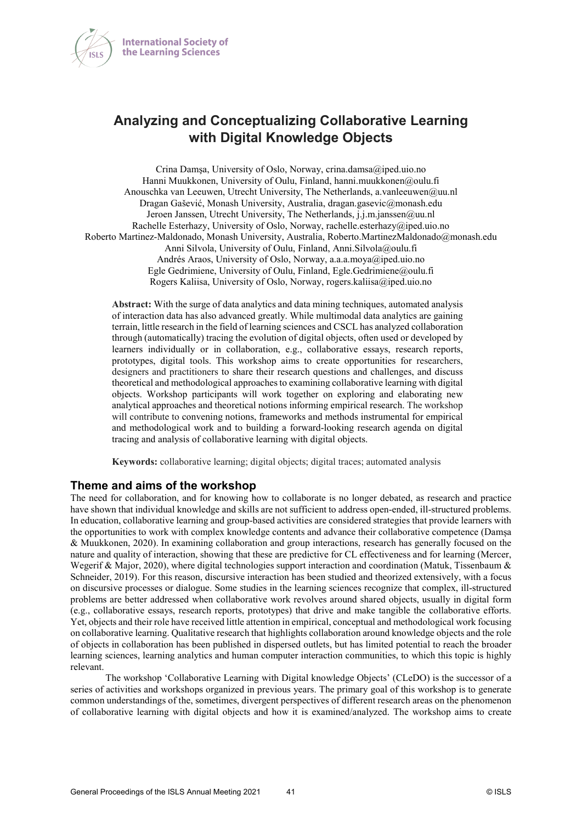

# **Analyzing and Conceptualizing Collaborative Learning with Digital Knowledge Objects**

Crina Damşa, University of Oslo, Norway, crina.damsa@iped.uio.no Hanni Muukkonen, University of Oulu, Finland, hanni.muukkonen@oulu.fi Anouschka van Leeuwen, Utrecht University, The Netherlands, a.vanleeuwen@uu.nl Dragan Gašević, Monash University, Australia, dragan.gasevic@monash.edu Jeroen Janssen, Utrecht University, The Netherlands, j.j.m.janssen@uu.nl Rachelle Esterhazy, University of Oslo, Norway, rachelle.esterhazy@iped.uio.no Roberto Martinez-Maldonado, Monash University, Australia, Roberto.MartinezMaldonado@monash.edu Anni Silvola, University of Oulu, Finland, Anni.Silvola@oulu.fi Andrés Araos, University of Oslo, Norway, a.a.a.moya@iped.uio.no Egle Gedrimiene, University of Oulu, Finland, Egle.Gedrimiene@oulu.fi Rogers Kaliisa, University of Oslo, Norway, rogers.kaliisa@iped.uio.no

**Abstract:** With the surge of data analytics and data mining techniques, automated analysis of interaction data has also advanced greatly. While multimodal data analytics are gaining terrain, little research in the field of learning sciences and CSCL has analyzed collaboration through (automatically) tracing the evolution of digital objects, often used or developed by learners individually or in collaboration, e.g., collaborative essays, research reports, prototypes, digital tools. This workshop aims to create opportunities for researchers, designers and practitioners to share their research questions and challenges, and discuss theoretical and methodological approachesto examining collaborative learning with digital objects. Workshop participants will work together on exploring and elaborating new analytical approaches and theoretical notions informing empirical research. The workshop will contribute to convening notions, frameworks and methods instrumental for empirical and methodological work and to building a forward-looking research agenda on digital tracing and analysis of collaborative learning with digital objects.

**Keywords:** collaborative learning; digital objects; digital traces; automated analysis

#### **Theme and aims of the workshop**

The need for collaboration, and for knowing how to collaborate is no longer debated, as research and practice have shown that individual knowledge and skills are not sufficient to address open-ended, ill-structured problems. In education, collaborative learning and group-based activities are considered strategies that provide learners with the opportunities to work with complex knowledge contents and advance their collaborative competence (Damșa & Muukkonen, 2020). In examining collaboration and group interactions, research has generally focused on the nature and quality of interaction, showing that these are predictive for CL effectiveness and for learning (Mercer, Wegerif & Major, 2020), where digital technologies support interaction and coordination (Matuk, Tissenbaum & Schneider, 2019). For this reason, discursive interaction has been studied and theorized extensively, with a focus on discursive processes or dialogue. Some studies in the learning sciences recognize that complex, ill-structured problems are better addressed when collaborative work revolves around shared objects, usually in digital form (e.g., collaborative essays, research reports, prototypes) that drive and make tangible the collaborative efforts. Yet, objects and their role have received little attention in empirical, conceptual and methodological work focusing on collaborative learning. Qualitative research that highlights collaboration around knowledge objects and the role of objects in collaboration has been published in dispersed outlets, but has limited potential to reach the broader learning sciences, learning analytics and human computer interaction communities, to which this topic is highly relevant.

The workshop 'Collaborative Learning with Digital knowledge Objects' (CLeDO) is the successor of a series of activities and workshops organized in previous years. The primary goal of this workshop is to generate common understandings of the, sometimes, divergent perspectives of different research areas on the phenomenon of collaborative learning with digital objects and how it is examined/analyzed. The workshop aims to create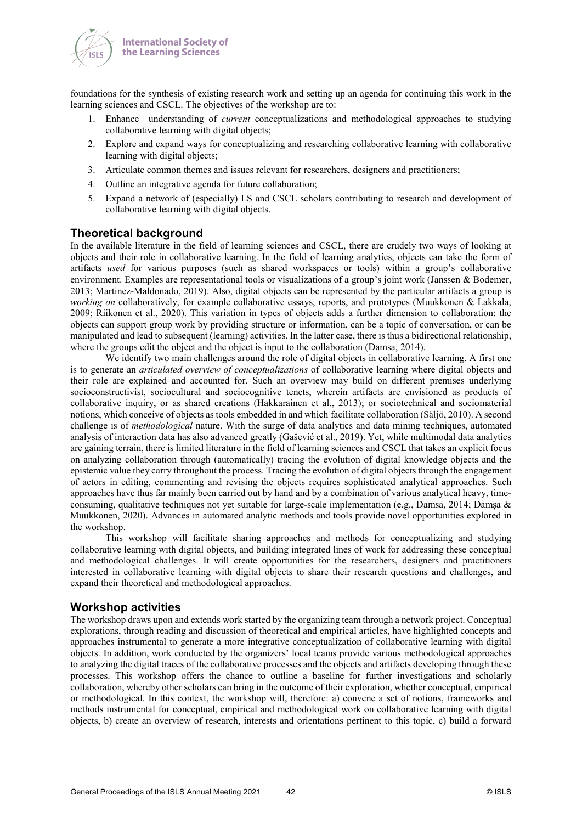

foundations for the synthesis of existing research work and setting up an agenda for continuing this work in the learning sciences and CSCL. The objectives of the workshop are to:

- 1. Enhance understanding of *current* conceptualizations and methodological approaches to studying collaborative learning with digital objects;
- 2. Explore and expand ways for conceptualizing and researching collaborative learning with collaborative learning with digital objects;
- 3. Articulate common themes and issues relevant for researchers, designers and practitioners;
- 4. Outline an integrative agenda for future collaboration;
- 5. Expand a network of (especially) LS and CSCL scholars contributing to research and development of collaborative learning with digital objects.

## **Theoretical background**

In the available literature in the field of learning sciences and CSCL, there are crudely two ways of looking at objects and their role in collaborative learning. In the field of learning analytics, objects can take the form of artifacts *used* for various purposes (such as shared workspaces or tools) within a group's collaborative environment. Examples are representational tools or visualizations of a group's joint work (Janssen & Bodemer, 2013; Martinez-Maldonado, 2019). Also, digital objects can be represented by the particular artifacts a group is *working on* collaboratively, for example collaborative essays, reports, and prototypes (Muukkonen & Lakkala, 2009; Riikonen et al., 2020). This variation in types of objects adds a further dimension to collaboration: the objects can support group work by providing structure or information, can be a topic of conversation, or can be manipulated and lead to subsequent (learning) activities. In the latter case, there is thus a bidirectional relationship, where the groups edit the object and the object is input to the collaboration (Damsa, 2014).

We identify two main challenges around the role of digital objects in collaborative learning. A first one is to generate an *articulated overview of conceptualizations* of collaborative learning where digital objects and their role are explained and accounted for. Such an overview may build on different premises underlying socioconstructivist, sociocultural and sociocognitive tenets, wherein artifacts are envisioned as products of collaborative inquiry, or as shared creations (Hakkarainen et al., 2013); or sociotechnical and sociomaterial notions, which conceive of objects as tools embedded in and which facilitate collaboration (Säljö, 2010). A second challenge is of *methodological* nature. With the surge of data analytics and data mining techniques, automated analysis of interaction data has also advanced greatly (Gašević et al., 2019). Yet, while multimodal data analytics are gaining terrain, there is limited literature in the field of learning sciences and CSCL that takes an explicit focus on analyzing collaboration through (automatically) tracing the evolution of digital knowledge objects and the epistemic value they carry throughout the process. Tracing the evolution of digital objects through the engagement of actors in editing, commenting and revising the objects requires sophisticated analytical approaches. Such approaches have thus far mainly been carried out by hand and by a combination of various analytical heavy, timeconsuming, qualitative techniques not yet suitable for large-scale implementation (e.g., Damsa, 2014; Damșa & Muukkonen, 2020). Advances in automated analytic methods and tools provide novel opportunities explored in the workshop.

This workshop will facilitate sharing approaches and methods for conceptualizing and studying collaborative learning with digital objects, and building integrated lines of work for addressing these conceptual and methodological challenges. It will create opportunities for the researchers, designers and practitioners interested in collaborative learning with digital objects to share their research questions and challenges, and expand their theoretical and methodological approaches.

### **Workshop activities**

The workshop draws upon and extends work started by the organizing team through a network project. Conceptual explorations, through reading and discussion of theoretical and empirical articles, have highlighted concepts and approaches instrumental to generate a more integrative conceptualization of collaborative learning with digital objects. In addition, work conducted by the organizers' local teams provide various methodological approaches to analyzing the digital traces of the collaborative processes and the objects and artifacts developing through these processes. This workshop offers the chance to outline a baseline for further investigations and scholarly collaboration, whereby other scholars can bring in the outcome of their exploration, whether conceptual, empirical or methodological. In this context, the workshop will, therefore: a) convene a set of notions, frameworks and methods instrumental for conceptual, empirical and methodological work on collaborative learning with digital objects, b) create an overview of research, interests and orientations pertinent to this topic, c) build a forward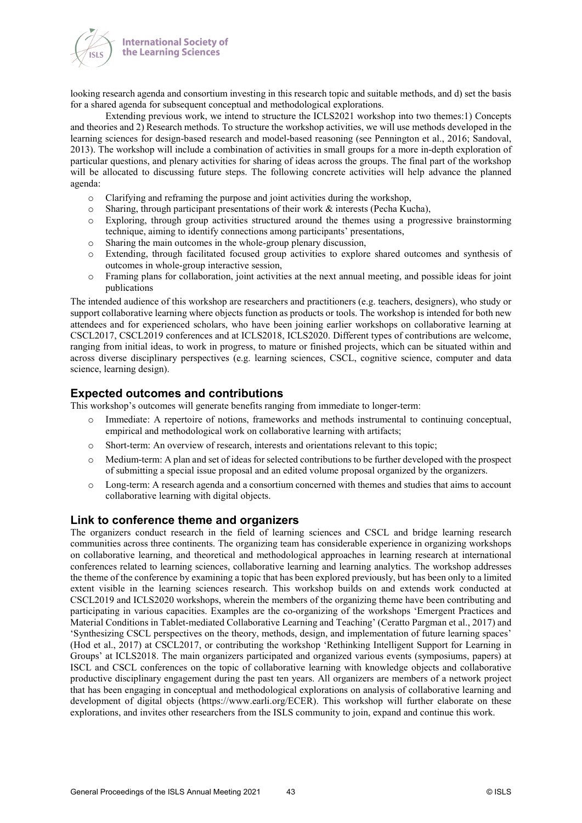

looking research agenda and consortium investing in this research topic and suitable methods, and d) set the basis for a shared agenda for subsequent conceptual and methodological explorations.

Extending previous work, we intend to structure the ICLS2021 workshop into two themes:1) Concepts and theories and 2) Research methods. To structure the workshop activities, we will use methods developed in the learning sciences for design-based research and model-based reasoning (see Pennington et al., 2016; Sandoval, 2013). The workshop will include a combination of activities in small groups for a more in-depth exploration of particular questions, and plenary activities for sharing of ideas across the groups. The final part of the workshop will be allocated to discussing future steps. The following concrete activities will help advance the planned agenda:

- $\circ$  Clarifying and reframing the purpose and joint activities during the workshop,<br>  $\circ$  Sharing, through participant presentations of their work & interests (Pecha Kue
- Sharing, through participant presentations of their work  $\&$  interests (Pecha Kucha),
- o Exploring, through group activities structured around the themes using a progressive brainstorming technique, aiming to identify connections among participants' presentations,
- o Sharing the main outcomes in the whole-group plenary discussion,
- o Extending, through facilitated focused group activities to explore shared outcomes and synthesis of outcomes in whole-group interactive session,
- o Framing plans for collaboration, joint activities at the next annual meeting, and possible ideas for joint publications

The intended audience of this workshop are researchers and practitioners (e.g. teachers, designers), who study or support collaborative learning where objects function as products or tools. The workshop is intended for both new attendees and for experienced scholars, who have been joining earlier workshops on collaborative learning at CSCL2017, CSCL2019 conferences and at ICLS2018, ICLS2020. Different types of contributions are welcome, ranging from initial ideas, to work in progress, to mature or finished projects, which can be situated within and across diverse disciplinary perspectives (e.g. learning sciences, CSCL, cognitive science, computer and data science, learning design).

### **Expected outcomes and contributions**

This workshop's outcomes will generate benefits ranging from immediate to longer-term:

- o Immediate: A repertoire of notions, frameworks and methods instrumental to continuing conceptual, empirical and methodological work on collaborative learning with artifacts;
- o Short-term: An overview of research, interests and orientations relevant to this topic;
- o Medium-term: A plan and set of ideas for selected contributions to be further developed with the prospect of submitting a special issue proposal and an edited volume proposal organized by the organizers.
- o Long-term: A research agenda and a consortium concerned with themes and studies that aims to account collaborative learning with digital objects.

#### **Link to conference theme and organizers**

The organizers conduct research in the field of learning sciences and CSCL and bridge learning research communities across three continents. The organizing team has considerable experience in organizing workshops on collaborative learning, and theoretical and methodological approaches in learning research at international conferences related to learning sciences, collaborative learning and learning analytics. The workshop addresses the theme of the conference by examining a topic that has been explored previously, but has been only to a limited extent visible in the learning sciences research. This workshop builds on and extends work conducted at CSCL2019 and ICLS2020 workshops, wherein the members of the organizing theme have been contributing and participating in various capacities. Examples are the co-organizing of the workshops 'Emergent Practices and Material Conditions in Tablet-mediated Collaborative Learning and Teaching' (Ceratto Pargman et al., 2017) and 'Synthesizing CSCL perspectives on the theory, methods, design, and implementation of future learning spaces' (Hod et al., 2017) at CSCL2017, or contributing the workshop 'Rethinking Intelligent Support for Learning in Groups' at ICLS2018. The main organizers participated and organized various events (symposiums, papers) at ISCL and CSCL conferences on the topic of collaborative learning with knowledge objects and collaborative productive disciplinary engagement during the past ten years. All organizers are members of a network project that has been engaging in conceptual and methodological explorations on analysis of collaborative learning and development of digital objects (https://www.earli.org/ECER). This workshop will further elaborate on these explorations, and invites other researchers from the ISLS community to join, expand and continue this work.